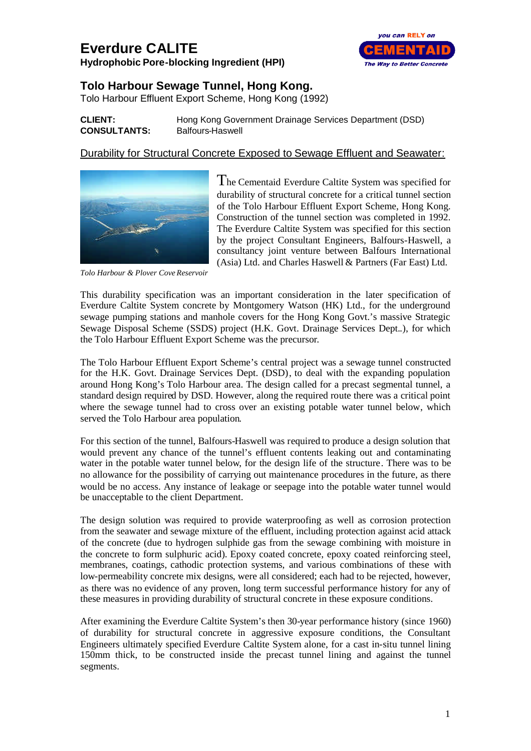## **Everdure CALITE**

**Hydrophobic Pore-blocking Ingredient (HPI)**



## **Tolo Harbour Sewage Tunnel, Hong Kong.**

Tolo Harbour Effluent Export Scheme, Hong Kong (1992)

## **CLIENT:** Hong Kong Government Drainage Services Department (DSD) **CONSULTANTS:** Balfours-Haswell

## Durability for Structural Concrete Exposed to Sewage Effluent and Seawater:



The Cementaid Everdure Caltite System was specified for durability of structural concrete for a critical tunnel section of the Tolo Harbour Effluent Export Scheme, Hong Kong. Construction of the tunnel section was completed in 1992. The Everdure Caltite System was specified for this section by the project Consultant Engineers, Balfours-Haswell, a consultancy joint venture between Balfours International (Asia) Ltd. and Charles Haswell & Partners (Far East) Ltd.

*Tolo Harbour & Plover Cove Reservoir*

This durability specification was an important consideration in the later specification of Everdure Caltite System concrete by Montgomery Watson (HK) Ltd., for the underground sewage pumping stations and manhole covers for the Hong Kong Govt.'s massive Strategic Sewage Disposal Scheme (SSDS) project (H.K. Govt. Drainage Services Dept..), for which the Tolo Harbour Effluent Export Scheme was the precursor.

The Tolo Harbour Effluent Export Scheme's central project was a sewage tunnel constructed for the H.K. Govt. Drainage Services Dept. (DSD), to deal with the expanding population around Hong Kong's Tolo Harbour area. The design called for a precast segmental tunnel, a standard design required by DSD. However, along the required route there was a critical point where the sewage tunnel had to cross over an existing potable water tunnel below, which served the Tolo Harbour area population.

For this section of the tunnel, Balfours-Haswell was required to produce a design solution that would prevent any chance of the tunnel's effluent contents leaking out and contaminating water in the potable water tunnel below, for the design life of the structure. There was to be no allowance for the possibility of carrying out maintenance procedures in the future, as there would be no access. Any instance of leakage or seepage into the potable water tunnel would be unacceptable to the client Department.

The design solution was required to provide waterproofing as well as corrosion protection from the seawater and sewage mixture of the effluent, including protection against acid attack of the concrete (due to hydrogen sulphide gas from the sewage combining with moisture in the concrete to form sulphuric acid). Epoxy coated concrete, epoxy coated reinforcing steel, membranes, coatings, cathodic protection systems, and various combinations of these with low-permeability concrete mix designs, were all considered; each had to be rejected, however, as there was no evidence of any proven, long term successful performance history for any of these measures in providing durability of structural concrete in these exposure conditions.

After examining the Everdure Caltite System's then 30-year performance history (since 1960) of durability for structural concrete in aggressive exposure conditions, the Consultant Engineers ultimately specified Everdure Caltite System alone, for a cast in-situ tunnel lining 150mm thick, to be constructed inside the precast tunnel lining and against the tunnel segments.